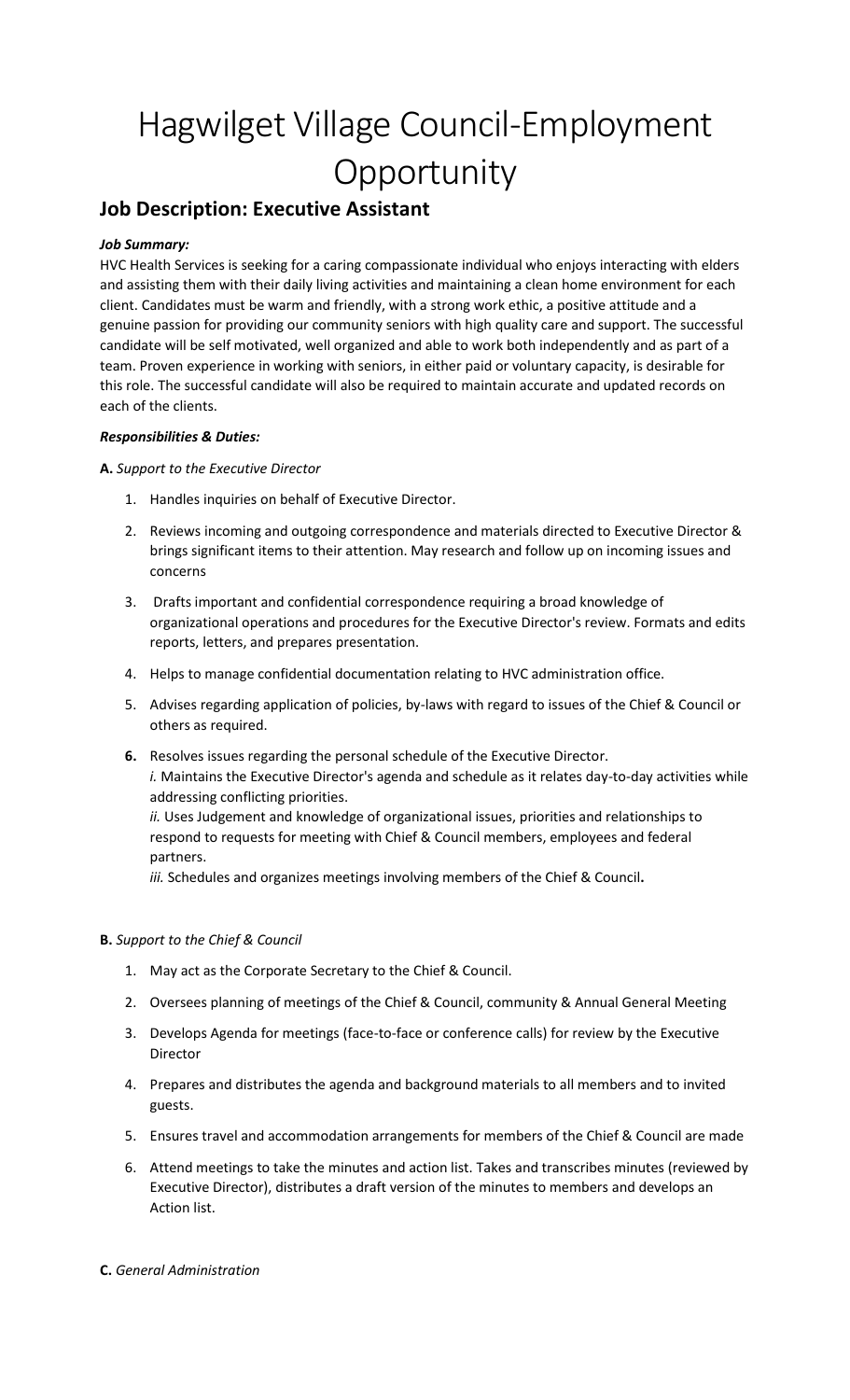# Hagwilget Village Council-Employment **Opportunity**

# **Job Description: Executive Assistant**

# *Job Summary:*

HVC Health Services is seeking for a caring compassionate individual who enjoys interacting with elders and assisting them with their daily living activities and maintaining a clean home environment for each client. Candidates must be warm and friendly, with a strong work ethic, a positive attitude and a genuine passion for providing our community seniors with high quality care and support. The successful candidate will be self motivated, well organized and able to work both independently and as part of a team. Proven experience in working with seniors, in either paid or voluntary capacity, is desirable for this role. The successful candidate will also be required to maintain accurate and updated records on each of the clients.

## *Responsibilities & Duties:*

**A.** *Support to the Executive Director*

- 1. Handles inquiries on behalf of Executive Director.
- 2. Reviews incoming and outgoing correspondence and materials directed to Executive Director & brings significant items to their attention. May research and follow up on incoming issues and concerns
- 3. Drafts important and confidential correspondence requiring a broad knowledge of organizational operations and procedures for the Executive Director's review. Formats and edits reports, letters, and prepares presentation.
- 4. Helps to manage confidential documentation relating to HVC administration office.
- 5. Advises regarding application of policies, by-laws with regard to issues of the Chief & Council or others as required.
- **6.** Resolves issues regarding the personal schedule of the Executive Director. *i.* Maintains the Executive Director's agenda and schedule as it relates day-to-day activities while addressing conflicting priorities. *ii.* Uses Judgement and knowledge of organizational issues, priorities and relationships to respond to requests for meeting with Chief & Council members, employees and federal partners.

*iii.* Schedules and organizes meetings involving members of the Chief & Council**.**

# **B.** *Support to the Chief & Council*

- 1. May act as the Corporate Secretary to the Chief & Council.
- 2. Oversees planning of meetings of the Chief & Council, community & Annual General Meeting
- 3. Develops Agenda for meetings (face-to-face or conference calls) for review by the Executive Director
- 4. Prepares and distributes the agenda and background materials to all members and to invited guests.
- 5. Ensures travel and accommodation arrangements for members of the Chief & Council are made
- 6. Attend meetings to take the minutes and action list. Takes and transcribes minutes (reviewed by Executive Director), distributes a draft version of the minutes to members and develops an Action list.

### **C.** *General Administration*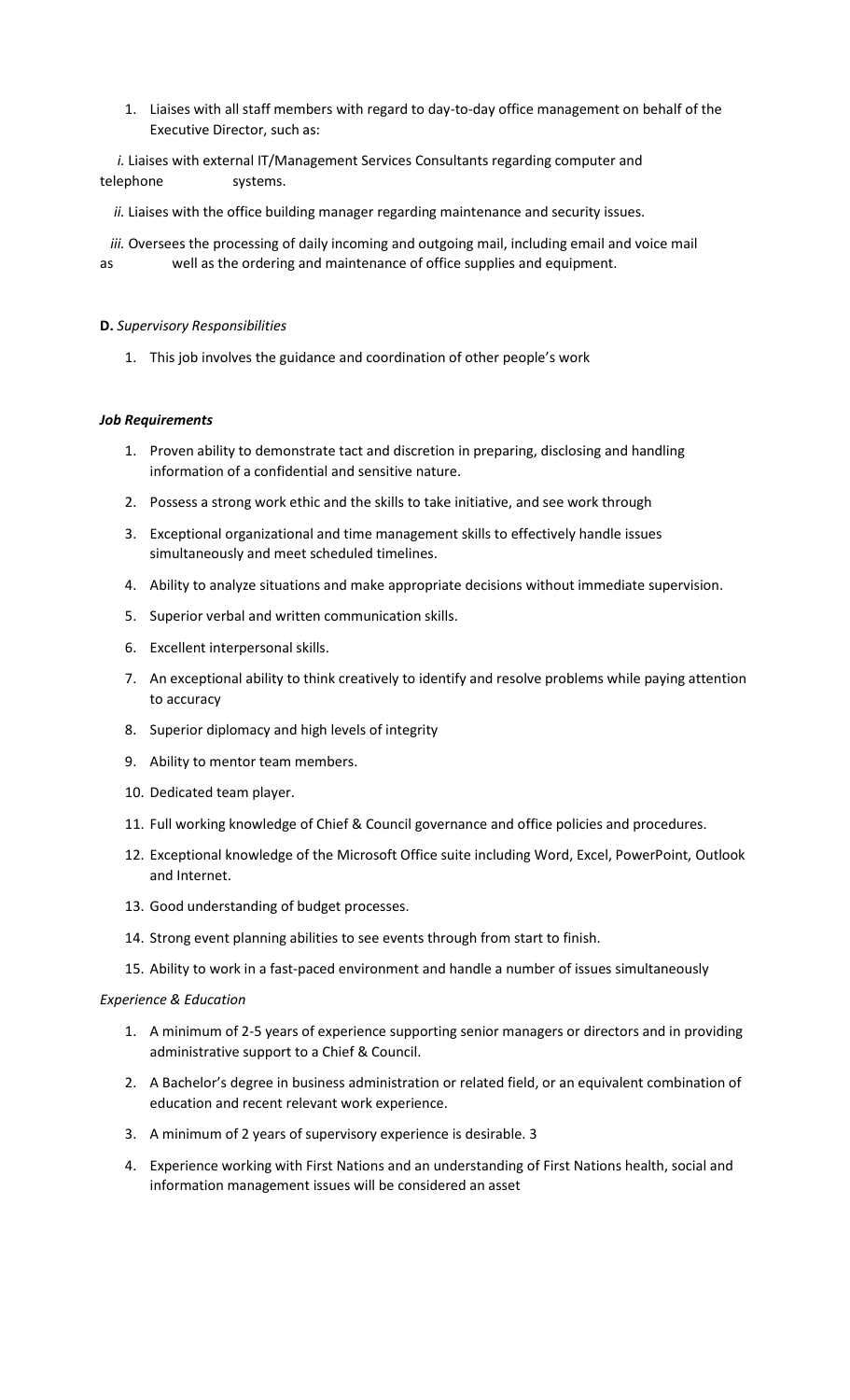1. Liaises with all staff members with regard to day-to-day office management on behalf of the Executive Director, such as:

*i.* Liaises with external IT/Management Services Consultants regarding computer and telephone systems.

*ii.* Liaises with the office building manager regarding maintenance and security issues.

 *iii.* Oversees the processing of daily incoming and outgoing mail, including email and voice mail as well as the ordering and maintenance of office supplies and equipment.

### **D.** *Supervisory Responsibilities*

1. This job involves the guidance and coordination of other people's work

#### *Job Requirements*

- 1. Proven ability to demonstrate tact and discretion in preparing, disclosing and handling information of a confidential and sensitive nature.
- 2. Possess a strong work ethic and the skills to take initiative, and see work through
- 3. Exceptional organizational and time management skills to effectively handle issues simultaneously and meet scheduled timelines.
- 4. Ability to analyze situations and make appropriate decisions without immediate supervision.
- 5. Superior verbal and written communication skills.
- 6. Excellent interpersonal skills.
- 7. An exceptional ability to think creatively to identify and resolve problems while paying attention to accuracy
- 8. Superior diplomacy and high levels of integrity
- 9. Ability to mentor team members.
- 10. Dedicated team player.
- 11. Full working knowledge of Chief & Council governance and office policies and procedures.
- 12. Exceptional knowledge of the Microsoft Office suite including Word, Excel, PowerPoint, Outlook and Internet.
- 13. Good understanding of budget processes.
- 14. Strong event planning abilities to see events through from start to finish.
- 15. Ability to work in a fast-paced environment and handle a number of issues simultaneously

#### *Experience & Education*

- 1. A minimum of 2-5 years of experience supporting senior managers or directors and in providing administrative support to a Chief & Council.
- 2. A Bachelor's degree in business administration or related field, or an equivalent combination of education and recent relevant work experience.
- 3. A minimum of 2 years of supervisory experience is desirable. 3
- 4. Experience working with First Nations and an understanding of First Nations health, social and information management issues will be considered an asset